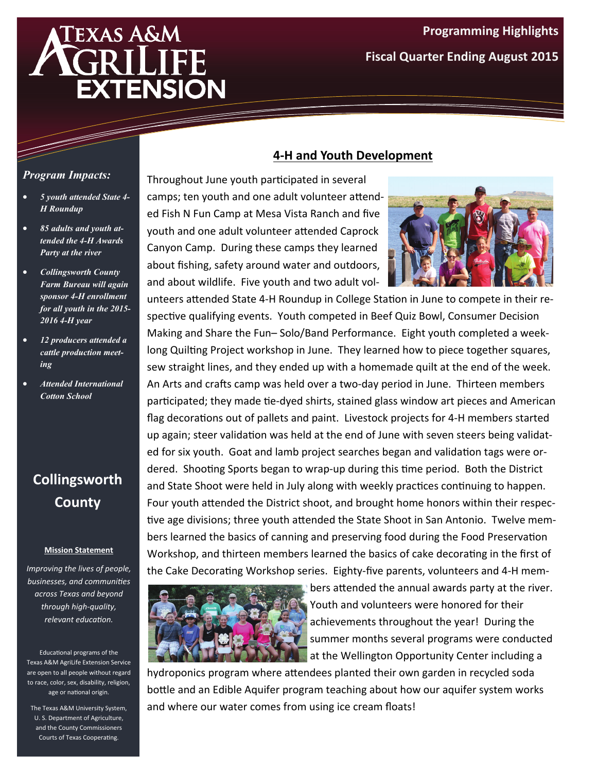# **EXAS A&M EXTENSION**

# **Programming Highlights Fiscal Quarter Ending August 2015**

## *Program Impacts:*

- *5 youth attended State 4- H Roundup*
- *85 adults and youth attended the 4-H Awards Party at the river*
- *Collingsworth County Farm Bureau will again sponsor 4-H enrollment for all youth in the 2015- 2016 4-H year*
- *12 producers attended a cattle production meeting*
- *Attended International Cotton School*

# **Collingsworth County**

#### **Mission Statement**

*Improving the lives of people, businesses, and communiƟes across Texas and beyond through high‐quality, relevant educaƟon.*

Educational programs of the Texas A&M AgriLife Extension Service are open to all people without regard to race, color, sex, disability, religion, age or national origin.

The Texas A&M University System, U. S. Department of Agriculture, and the County Commissioners Courts of Texas Cooperating.

## **4‐H and Youth Development**

Throughout June youth participated in several camps; ten youth and one adult volunteer attended Fish N Fun Camp at Mesa Vista Ranch and five youth and one adult volunteer attended Caprock Canyon Camp. During these camps they learned about fishing, safety around water and outdoors, and about wildlife. Five youth and two adult vol-



unteers attended State 4-H Roundup in College Station in June to compete in their respective qualifying events. Youth competed in Beef Quiz Bowl, Consumer Decision Making and Share the Fun– Solo/Band Performance. Eight youth completed a weeklong Quilting Project workshop in June. They learned how to piece together squares, sew straight lines, and they ended up with a homemade quilt at the end of the week. An Arts and crafts camp was held over a two-day period in June. Thirteen members participated; they made tie-dyed shirts, stained glass window art pieces and American flag decorations out of pallets and paint. Livestock projects for 4-H members started up again; steer validation was held at the end of June with seven steers being validated for six youth. Goat and lamb project searches began and validation tags were ordered. Shooting Sports began to wrap-up during this time period. Both the District and State Shoot were held in July along with weekly practices continuing to happen. Four youth attended the District shoot, and brought home honors within their respective age divisions; three youth attended the State Shoot in San Antonio. Twelve members learned the basics of canning and preserving food during the Food Preservation Workshop, and thirteen members learned the basics of cake decorating in the first of the Cake Decorating Workshop series. Eighty-five parents, volunteers and 4-H mem-



bers attended the annual awards party at the river. Youth and volunteers were honored for their achievements throughout the year! During the summer months several programs were conducted **A** at the Wellington Opportunity Center including a

hydroponics program where attendees planted their own garden in recycled soda bottle and an Edible Aquifer program teaching about how our aquifer system works and where our water comes from using ice cream floats!